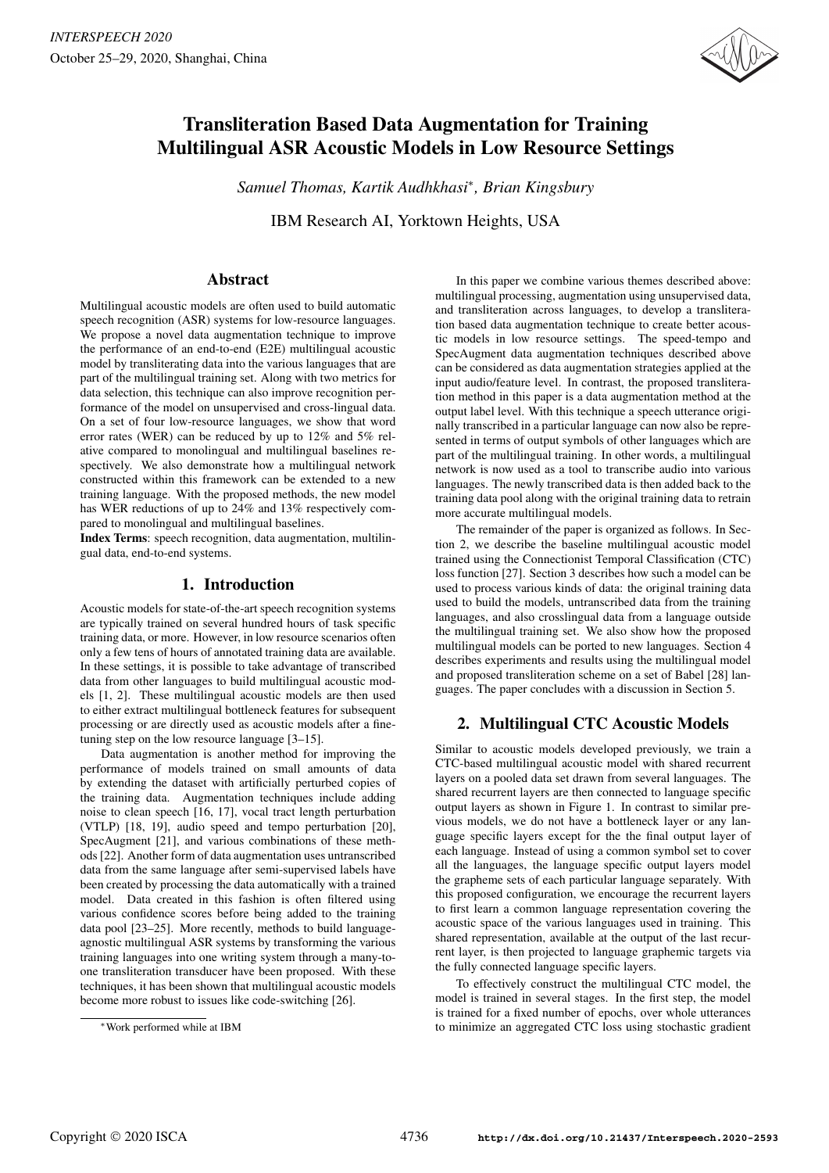

# Transliteration Based Data Augmentation for Training Multilingual ASR Acoustic Models in Low Resource Settings

*Samuel Thomas, Kartik Audhkhasi*<sup>∗</sup> *, Brian Kingsbury*

IBM Research AI, Yorktown Heights, USA

# Abstract

Multilingual acoustic models are often used to build automatic speech recognition (ASR) systems for low-resource languages. We propose a novel data augmentation technique to improve the performance of an end-to-end (E2E) multilingual acoustic model by transliterating data into the various languages that are part of the multilingual training set. Along with two metrics for data selection, this technique can also improve recognition performance of the model on unsupervised and cross-lingual data. On a set of four low-resource languages, we show that word error rates (WER) can be reduced by up to 12% and 5% relative compared to monolingual and multilingual baselines respectively. We also demonstrate how a multilingual network constructed within this framework can be extended to a new training language. With the proposed methods, the new model has WER reductions of up to 24% and 13% respectively compared to monolingual and multilingual baselines.

Index Terms: speech recognition, data augmentation, multilingual data, end-to-end systems.

# 1. Introduction

Acoustic models for state-of-the-art speech recognition systems are typically trained on several hundred hours of task specific training data, or more. However, in low resource scenarios often only a few tens of hours of annotated training data are available. In these settings, it is possible to take advantage of transcribed data from other languages to build multilingual acoustic models [1, 2]. These multilingual acoustic models are then used to either extract multilingual bottleneck features for subsequent processing or are directly used as acoustic models after a finetuning step on the low resource language [3–15].

Data augmentation is another method for improving the performance of models trained on small amounts of data by extending the dataset with artificially perturbed copies of the training data. Augmentation techniques include adding noise to clean speech [16, 17], vocal tract length perturbation (VTLP) [18, 19], audio speed and tempo perturbation [20], SpecAugment [21], and various combinations of these methods [22]. Another form of data augmentation uses untranscribed data from the same language after semi-supervised labels have been created by processing the data automatically with a trained model. Data created in this fashion is often filtered using various confidence scores before being added to the training data pool [23–25]. More recently, methods to build languageagnostic multilingual ASR systems by transforming the various training languages into one writing system through a many-toone transliteration transducer have been proposed. With these techniques, it has been shown that multilingual acoustic models become more robust to issues like code-switching [26].

In this paper we combine various themes described above: multilingual processing, augmentation using unsupervised data, and transliteration across languages, to develop a transliteration based data augmentation technique to create better acoustic models in low resource settings. The speed-tempo and SpecAugment data augmentation techniques described above can be considered as data augmentation strategies applied at the input audio/feature level. In contrast, the proposed transliteration method in this paper is a data augmentation method at the output label level. With this technique a speech utterance originally transcribed in a particular language can now also be represented in terms of output symbols of other languages which are part of the multilingual training. In other words, a multilingual network is now used as a tool to transcribe audio into various languages. The newly transcribed data is then added back to the training data pool along with the original training data to retrain more accurate multilingual models.

The remainder of the paper is organized as follows. In Section 2, we describe the baseline multilingual acoustic model trained using the Connectionist Temporal Classification (CTC) loss function [27]. Section 3 describes how such a model can be used to process various kinds of data: the original training data used to build the models, untranscribed data from the training languages, and also crosslingual data from a language outside the multilingual training set. We also show how the proposed multilingual models can be ported to new languages. Section 4 describes experiments and results using the multilingual model and proposed transliteration scheme on a set of Babel [28] languages. The paper concludes with a discussion in Section 5.

# 2. Multilingual CTC Acoustic Models

Similar to acoustic models developed previously, we train a CTC-based multilingual acoustic model with shared recurrent layers on a pooled data set drawn from several languages. The shared recurrent layers are then connected to language specific output layers as shown in Figure 1. In contrast to similar previous models, we do not have a bottleneck layer or any language specific layers except for the the final output layer of each language. Instead of using a common symbol set to cover all the languages, the language specific output layers model the grapheme sets of each particular language separately. With this proposed configuration, we encourage the recurrent layers to first learn a common language representation covering the acoustic space of the various languages used in training. This shared representation, available at the output of the last recurrent layer, is then projected to language graphemic targets via the fully connected language specific layers.

To effectively construct the multilingual CTC model, the model is trained in several stages. In the first step, the model is trained for a fixed number of epochs, over whole utterances to minimize an aggregated CTC loss using stochastic gradient

<sup>∗</sup>Work performed while at IBM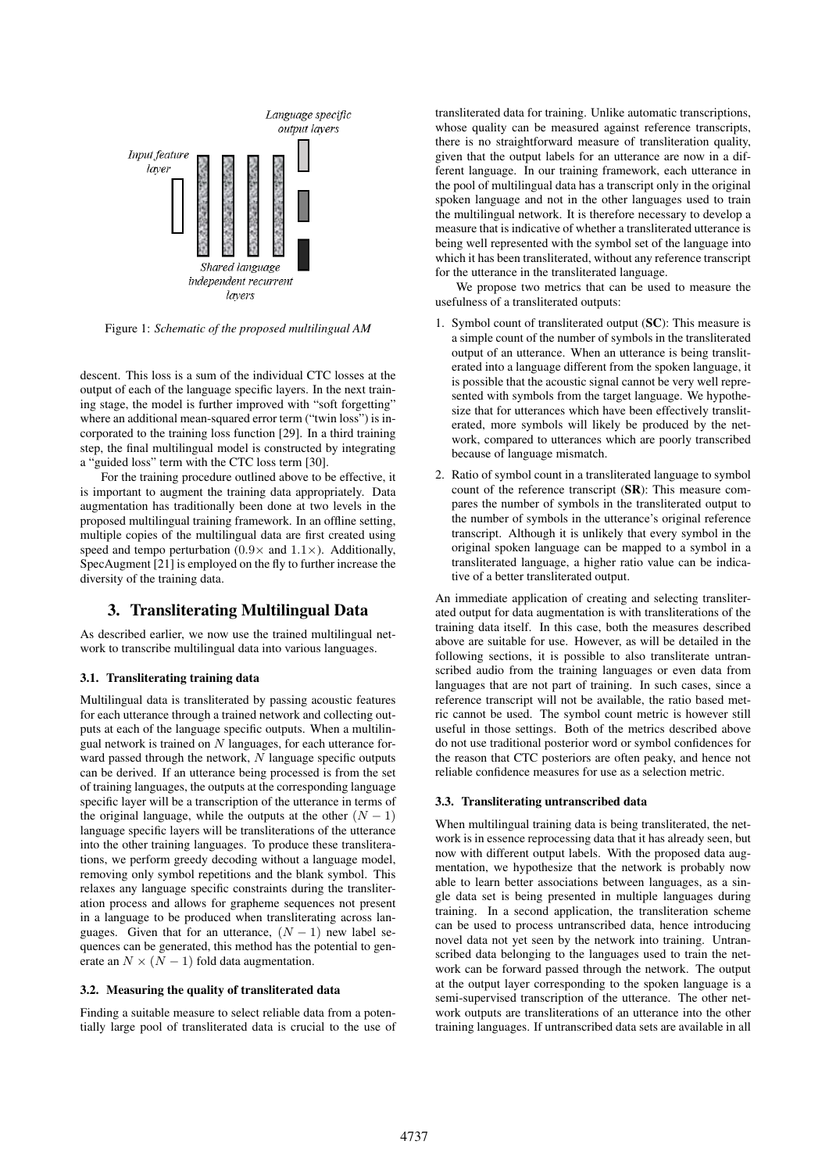

Figure 1: *Schematic of the proposed multilingual AM*

descent. This loss is a sum of the individual CTC losses at the output of each of the language specific layers. In the next training stage, the model is further improved with "soft forgetting" where an additional mean-squared error term ("twin loss") is incorporated to the training loss function [29]. In a third training step, the final multilingual model is constructed by integrating a "guided loss" term with the CTC loss term [30].

For the training procedure outlined above to be effective, it is important to augment the training data appropriately. Data augmentation has traditionally been done at two levels in the proposed multilingual training framework. In an offline setting, multiple copies of the multilingual data are first created using speed and tempo perturbation  $(0.9 \times$  and  $1.1 \times)$ . Additionally, SpecAugment [21] is employed on the fly to further increase the diversity of the training data.

### 3. Transliterating Multilingual Data

As described earlier, we now use the trained multilingual network to transcribe multilingual data into various languages.

### 3.1. Transliterating training data

Multilingual data is transliterated by passing acoustic features for each utterance through a trained network and collecting outputs at each of the language specific outputs. When a multilingual network is trained on  $N$  languages, for each utterance forward passed through the network,  $N$  language specific outputs can be derived. If an utterance being processed is from the set of training languages, the outputs at the corresponding language specific layer will be a transcription of the utterance in terms of the original language, while the outputs at the other  $(N - 1)$ language specific layers will be transliterations of the utterance into the other training languages. To produce these transliterations, we perform greedy decoding without a language model, removing only symbol repetitions and the blank symbol. This relaxes any language specific constraints during the transliteration process and allows for grapheme sequences not present in a language to be produced when transliterating across languages. Given that for an utterance,  $(N - 1)$  new label sequences can be generated, this method has the potential to generate an  $N \times (N - 1)$  fold data augmentation.

#### 3.2. Measuring the quality of transliterated data

Finding a suitable measure to select reliable data from a potentially large pool of transliterated data is crucial to the use of transliterated data for training. Unlike automatic transcriptions, whose quality can be measured against reference transcripts, there is no straightforward measure of transliteration quality, given that the output labels for an utterance are now in a different language. In our training framework, each utterance in the pool of multilingual data has a transcript only in the original spoken language and not in the other languages used to train the multilingual network. It is therefore necessary to develop a measure that is indicative of whether a transliterated utterance is being well represented with the symbol set of the language into which it has been transliterated, without any reference transcript for the utterance in the transliterated language.

We propose two metrics that can be used to measure the usefulness of a transliterated outputs:

- 1. Symbol count of transliterated output (SC): This measure is a simple count of the number of symbols in the transliterated output of an utterance. When an utterance is being transliterated into a language different from the spoken language, it is possible that the acoustic signal cannot be very well represented with symbols from the target language. We hypothesize that for utterances which have been effectively transliterated, more symbols will likely be produced by the network, compared to utterances which are poorly transcribed because of language mismatch.
- 2. Ratio of symbol count in a transliterated language to symbol count of the reference transcript (SR): This measure compares the number of symbols in the transliterated output to the number of symbols in the utterance's original reference transcript. Although it is unlikely that every symbol in the original spoken language can be mapped to a symbol in a transliterated language, a higher ratio value can be indicative of a better transliterated output.

An immediate application of creating and selecting transliterated output for data augmentation is with transliterations of the training data itself. In this case, both the measures described above are suitable for use. However, as will be detailed in the following sections, it is possible to also transliterate untranscribed audio from the training languages or even data from languages that are not part of training. In such cases, since a reference transcript will not be available, the ratio based metric cannot be used. The symbol count metric is however still useful in those settings. Both of the metrics described above do not use traditional posterior word or symbol confidences for the reason that CTC posteriors are often peaky, and hence not reliable confidence measures for use as a selection metric.

#### 3.3. Transliterating untranscribed data

When multilingual training data is being transliterated, the network is in essence reprocessing data that it has already seen, but now with different output labels. With the proposed data augmentation, we hypothesize that the network is probably now able to learn better associations between languages, as a single data set is being presented in multiple languages during training. In a second application, the transliteration scheme can be used to process untranscribed data, hence introducing novel data not yet seen by the network into training. Untranscribed data belonging to the languages used to train the network can be forward passed through the network. The output at the output layer corresponding to the spoken language is a semi-supervised transcription of the utterance. The other network outputs are transliterations of an utterance into the other training languages. If untranscribed data sets are available in all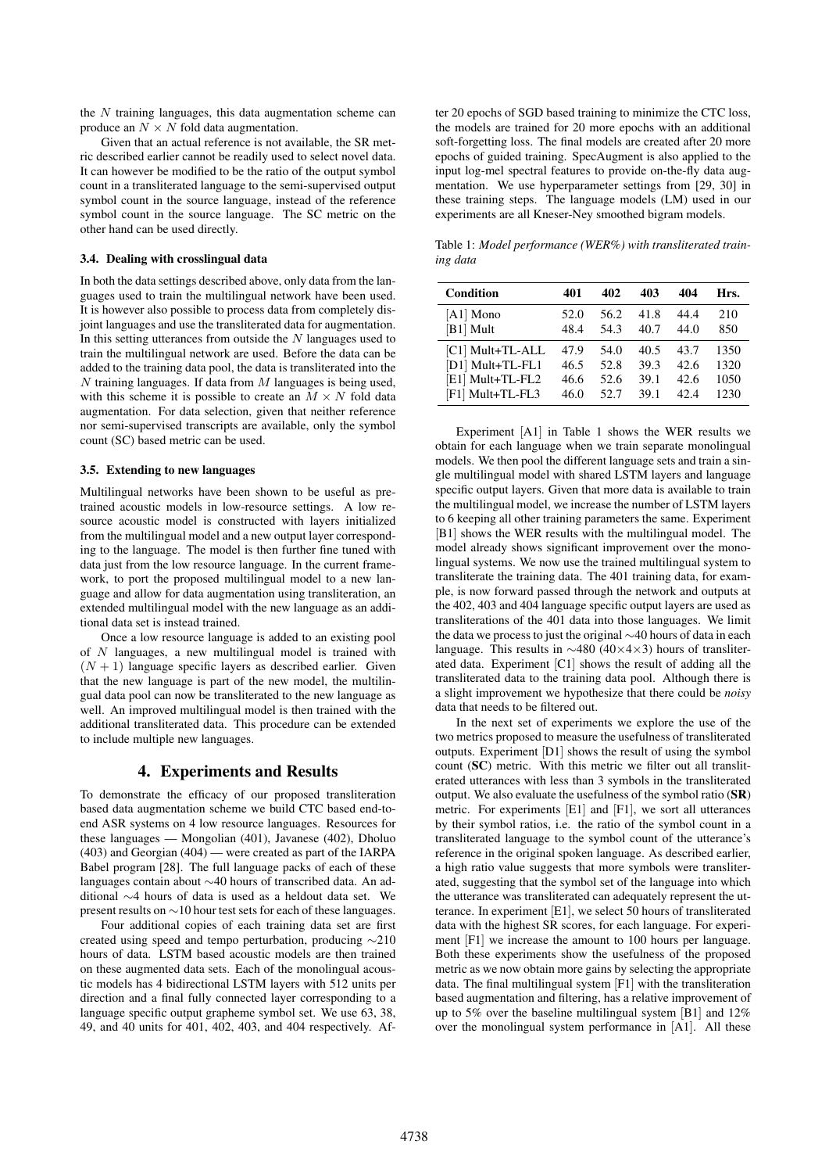the  $N$  training languages, this data augmentation scheme can produce an  $N \times N$  fold data augmentation.

Given that an actual reference is not available, the SR metric described earlier cannot be readily used to select novel data. It can however be modified to be the ratio of the output symbol count in a transliterated language to the semi-supervised output symbol count in the source language, instead of the reference symbol count in the source language. The SC metric on the other hand can be used directly.

#### 3.4. Dealing with crosslingual data

In both the data settings described above, only data from the languages used to train the multilingual network have been used. It is however also possible to process data from completely disjoint languages and use the transliterated data for augmentation. In this setting utterances from outside the  $N$  languages used to train the multilingual network are used. Before the data can be added to the training data pool, the data is transliterated into the  $N$  training languages. If data from  $M$  languages is being used, with this scheme it is possible to create an  $M \times N$  fold data augmentation. For data selection, given that neither reference nor semi-supervised transcripts are available, only the symbol count (SC) based metric can be used.

#### 3.5. Extending to new languages

Multilingual networks have been shown to be useful as pretrained acoustic models in low-resource settings. A low resource acoustic model is constructed with layers initialized from the multilingual model and a new output layer corresponding to the language. The model is then further fine tuned with data just from the low resource language. In the current framework, to port the proposed multilingual model to a new language and allow for data augmentation using transliteration, an extended multilingual model with the new language as an additional data set is instead trained.

Once a low resource language is added to an existing pool of  $N$  languages, a new multilingual model is trained with  $(N + 1)$  language specific layers as described earlier. Given that the new language is part of the new model, the multilingual data pool can now be transliterated to the new language as well. An improved multilingual model is then trained with the additional transliterated data. This procedure can be extended to include multiple new languages.

### 4. Experiments and Results

To demonstrate the efficacy of our proposed transliteration based data augmentation scheme we build CTC based end-toend ASR systems on 4 low resource languages. Resources for these languages — Mongolian (401), Javanese (402), Dholuo (403) and Georgian (404) — were created as part of the IARPA Babel program [28]. The full language packs of each of these languages contain about ∼40 hours of transcribed data. An additional ∼4 hours of data is used as a heldout data set. We present results on ∼10 hour test sets for each of these languages.

Four additional copies of each training data set are first created using speed and tempo perturbation, producing ∼210 hours of data. LSTM based acoustic models are then trained on these augmented data sets. Each of the monolingual acoustic models has 4 bidirectional LSTM layers with 512 units per direction and a final fully connected layer corresponding to a language specific output grapheme symbol set. We use 63, 38, 49, and 40 units for 401, 402, 403, and 404 respectively. After 20 epochs of SGD based training to minimize the CTC loss, the models are trained for 20 more epochs with an additional soft-forgetting loss. The final models are created after 20 more epochs of guided training. SpecAugment is also applied to the input log-mel spectral features to provide on-the-fly data augmentation. We use hyperparameter settings from [29, 30] in these training steps. The language models (LM) used in our experiments are all Kneser-Ney smoothed bigram models.

Table 1: *Model performance (WER%) with transliterated training data*

| Condition        | 401  | 402  | 403  | 404  | Hrs. |
|------------------|------|------|------|------|------|
| $[A1]$ Mono      | 52.0 | 56.2 | 41.8 | 44.4 | 210  |
| [B1] Mult        | 48.4 | 54.3 | 40.7 | 44.0 | 850  |
| [C1] Mult+TL-ALL | 47.9 | 54.0 | 40.5 | 43.7 | 1350 |
| [D1] Mult+TL-FL1 | 46.5 | 52.8 | 39.3 | 42.6 | 1320 |
| [E1] Mult+TL-FL2 | 46.6 | 52.6 | 39.1 | 42.6 | 1050 |
| [F1] Mult+TL-FL3 | 46.0 | 52.7 | 39.1 | 42.4 | 1230 |

Experiment [A1] in Table 1 shows the WER results we obtain for each language when we train separate monolingual models. We then pool the different language sets and train a single multilingual model with shared LSTM layers and language specific output layers. Given that more data is available to train the multilingual model, we increase the number of LSTM layers to 6 keeping all other training parameters the same. Experiment [B1] shows the WER results with the multilingual model. The model already shows significant improvement over the monolingual systems. We now use the trained multilingual system to transliterate the training data. The 401 training data, for example, is now forward passed through the network and outputs at the 402, 403 and 404 language specific output layers are used as transliterations of the 401 data into those languages. We limit the data we process to just the original ∼40 hours of data in each language. This results in ∼480 (40×4×3) hours of transliterated data. Experiment [C1] shows the result of adding all the transliterated data to the training data pool. Although there is a slight improvement we hypothesize that there could be *noisy* data that needs to be filtered out.

In the next set of experiments we explore the use of the two metrics proposed to measure the usefulness of transliterated outputs. Experiment [D1] shows the result of using the symbol count (SC) metric. With this metric we filter out all transliterated utterances with less than 3 symbols in the transliterated output. We also evaluate the usefulness of the symbol ratio (SR) metric. For experiments [E1] and [F1], we sort all utterances by their symbol ratios, i.e. the ratio of the symbol count in a transliterated language to the symbol count of the utterance's reference in the original spoken language. As described earlier, a high ratio value suggests that more symbols were transliterated, suggesting that the symbol set of the language into which the utterance was transliterated can adequately represent the utterance. In experiment [E1], we select 50 hours of transliterated data with the highest SR scores, for each language. For experiment [F1] we increase the amount to 100 hours per language. Both these experiments show the usefulness of the proposed metric as we now obtain more gains by selecting the appropriate data. The final multilingual system [F1] with the transliteration based augmentation and filtering, has a relative improvement of up to 5% over the baseline multilingual system [B1] and 12% over the monolingual system performance in [A1]. All these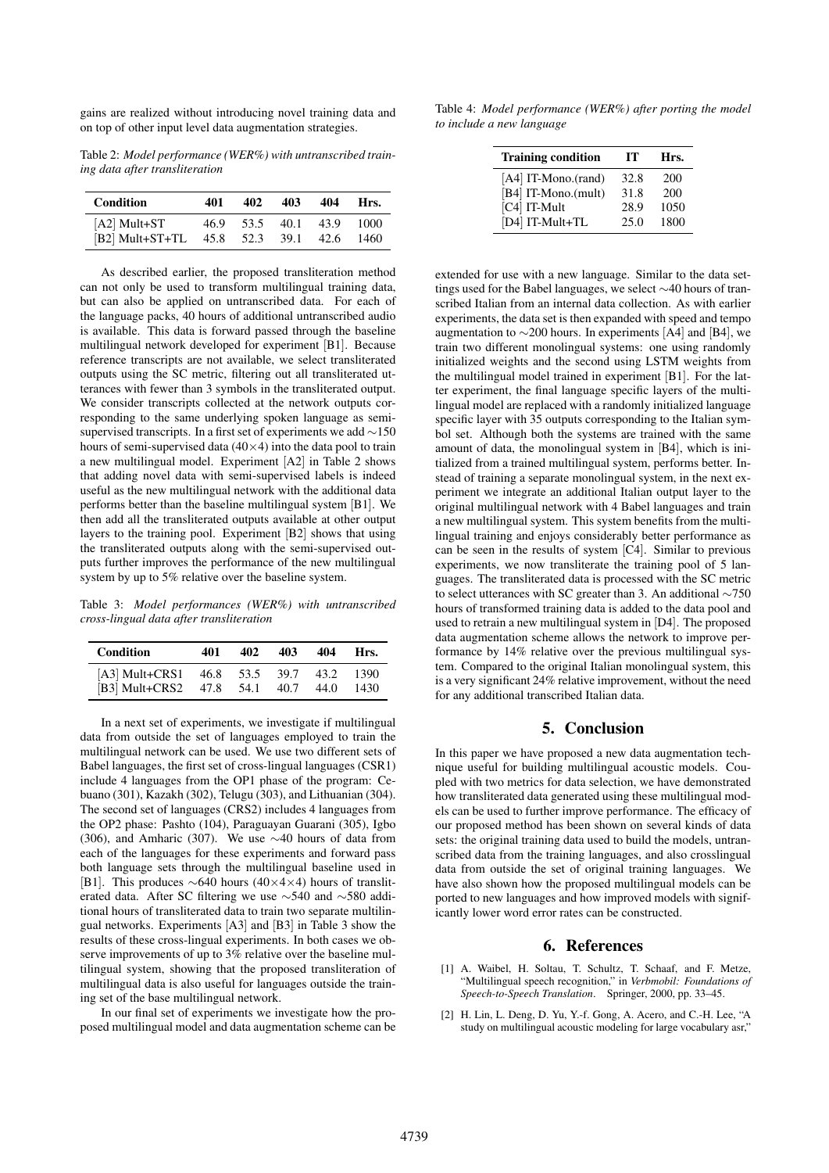gains are realized without introducing novel training data and on top of other input level data augmentation strategies.

Table 2: *Model performance (WER%) with untranscribed training data after transliteration*

| <b>Condition</b> | 401  | 402       | 403   | 404   | Hrs. |
|------------------|------|-----------|-------|-------|------|
| $[A2]$ Mult+ST   | 46.9 | 53.5      | -40.1 | 43.9  | 1000 |
| [B2] Mult+ST+TL  | 45.8 | 52.3 39.1 |       | -42.6 | 1460 |

As described earlier, the proposed transliteration method can not only be used to transform multilingual training data, but can also be applied on untranscribed data. For each of the language packs, 40 hours of additional untranscribed audio is available. This data is forward passed through the baseline multilingual network developed for experiment [B1]. Because reference transcripts are not available, we select transliterated outputs using the SC metric, filtering out all transliterated utterances with fewer than 3 symbols in the transliterated output. We consider transcripts collected at the network outputs corresponding to the same underlying spoken language as semisupervised transcripts. In a first set of experiments we add ∼150 hours of semi-supervised data  $(40\times4)$  into the data pool to train a new multilingual model. Experiment [A2] in Table 2 shows that adding novel data with semi-supervised labels is indeed useful as the new multilingual network with the additional data performs better than the baseline multilingual system [B1]. We then add all the transliterated outputs available at other output layers to the training pool. Experiment [B2] shows that using the transliterated outputs along with the semi-supervised outputs further improves the performance of the new multilingual system by up to 5% relative over the baseline system.

Table 3: *Model performances (WER%) with untranscribed cross-lingual data after transliteration*

| Condition                               | 401 | 402 | 403 | 404 | Hrs.   |
|-----------------------------------------|-----|-----|-----|-----|--------|
| [A3] Mult+CRS1 46.8 53.5 39.7 43.2 1390 |     |     |     |     |        |
| [B3] Mult+CRS2 47.8 54.1 40.7 44.0      |     |     |     |     | - 1430 |

In a next set of experiments, we investigate if multilingual data from outside the set of languages employed to train the multilingual network can be used. We use two different sets of Babel languages, the first set of cross-lingual languages (CSR1) include 4 languages from the OP1 phase of the program: Cebuano (301), Kazakh (302), Telugu (303), and Lithuanian (304). The second set of languages (CRS2) includes 4 languages from the OP2 phase: Pashto (104), Paraguayan Guarani (305), Igbo (306), and Amharic (307). We use  $\sim$ 40 hours of data from each of the languages for these experiments and forward pass both language sets through the multilingual baseline used in [B1]. This produces ∼640 hours (40×4×4) hours of transliterated data. After SC filtering we use ∼540 and ∼580 additional hours of transliterated data to train two separate multilingual networks. Experiments [A3] and [B3] in Table 3 show the results of these cross-lingual experiments. In both cases we observe improvements of up to 3% relative over the baseline multilingual system, showing that the proposed transliteration of multilingual data is also useful for languages outside the training set of the base multilingual network.

In our final set of experiments we investigate how the proposed multilingual model and data augmentation scheme can be

Table 4: *Model performance (WER%) after porting the model to include a new language*

| <b>Training condition</b> | тт   | Hrs. |
|---------------------------|------|------|
| [A4] IT-Mono.(rand)       | 32.8 | 200  |
| [B4] IT-Mono.(mult)       | 31.8 | 200  |
| [C4] IT-Mult              | 28.9 | 1050 |
| [D4] IT-Mult+TL           | 25.0 | 1800 |

extended for use with a new language. Similar to the data settings used for the Babel languages, we select ∼40 hours of transcribed Italian from an internal data collection. As with earlier experiments, the data set is then expanded with speed and tempo augmentation to  $\sim$ 200 hours. In experiments [A4] and [B4], we train two different monolingual systems: one using randomly initialized weights and the second using LSTM weights from the multilingual model trained in experiment [B1]. For the latter experiment, the final language specific layers of the multilingual model are replaced with a randomly initialized language specific layer with 35 outputs corresponding to the Italian symbol set. Although both the systems are trained with the same amount of data, the monolingual system in [B4], which is initialized from a trained multilingual system, performs better. Instead of training a separate monolingual system, in the next experiment we integrate an additional Italian output layer to the original multilingual network with 4 Babel languages and train a new multilingual system. This system benefits from the multilingual training and enjoys considerably better performance as can be seen in the results of system [C4]. Similar to previous experiments, we now transliterate the training pool of 5 languages. The transliterated data is processed with the SC metric to select utterances with SC greater than 3. An additional ∼750 hours of transformed training data is added to the data pool and used to retrain a new multilingual system in [D4]. The proposed data augmentation scheme allows the network to improve performance by 14% relative over the previous multilingual system. Compared to the original Italian monolingual system, this is a very significant 24% relative improvement, without the need for any additional transcribed Italian data.

## 5. Conclusion

In this paper we have proposed a new data augmentation technique useful for building multilingual acoustic models. Coupled with two metrics for data selection, we have demonstrated how transliterated data generated using these multilingual models can be used to further improve performance. The efficacy of our proposed method has been shown on several kinds of data sets: the original training data used to build the models, untranscribed data from the training languages, and also crosslingual data from outside the set of original training languages. We have also shown how the proposed multilingual models can be ported to new languages and how improved models with significantly lower word error rates can be constructed.

### 6. References

- [1] A. Waibel, H. Soltau, T. Schultz, T. Schaaf, and F. Metze, "Multilingual speech recognition," in *Verbmobil: Foundations of Speech-to-Speech Translation*. Springer, 2000, pp. 33–45.
- [2] H. Lin, L. Deng, D. Yu, Y.-f. Gong, A. Acero, and C.-H. Lee, "A study on multilingual acoustic modeling for large vocabulary asr,"